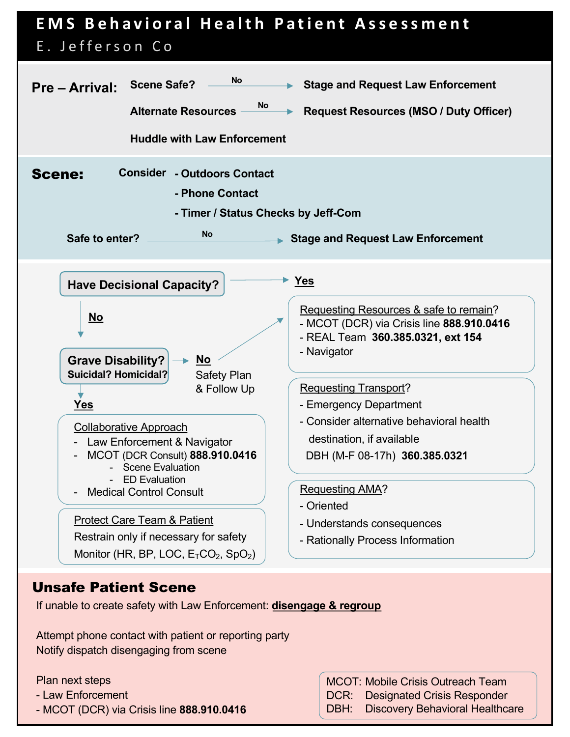

## Unsafe Patient Scene

If unable to create safety with Law Enforcement: **disengage & regroup**

Attempt phone contact with patient or reporting party Notify dispatch disengaging from scene

Plan next steps

- Law Enforcement
- MCOT (DCR) via Crisis line **888.910.0416**

MCOT: Mobile Crisis Outreach Team DCR: Designated Crisis Responder DBH: Discovery Behavioral Healthcare